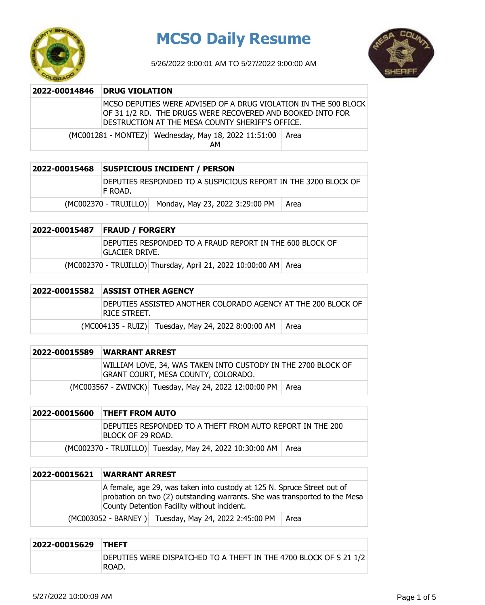

# **MCSO Daily Resume**

5/26/2022 9:00:01 AM TO 5/27/2022 9:00:00 AM



| 2022-00014846 | <b>DRUG VIOLATION</b> |                                                                                                                                                                                   |      |
|---------------|-----------------------|-----------------------------------------------------------------------------------------------------------------------------------------------------------------------------------|------|
|               |                       | MCSO DEPUTIES WERE ADVISED OF A DRUG VIOLATION IN THE 500 BLOCK<br>OF 31 1/2 RD. THE DRUGS WERE RECOVERED AND BOOKED INTO FOR<br>DESTRUCTION AT THE MESA COUNTY SHERIFF'S OFFICE. |      |
|               |                       | (MC001281 - MONTEZ) Wednesday, May 18, 2022 11:51:00<br>АΜ                                                                                                                        | Area |

| 2022-00015468 | <b>SUSPICIOUS INCIDENT / PERSON</b>                                        |                                                       |      |
|---------------|----------------------------------------------------------------------------|-------------------------------------------------------|------|
|               | DEPUTIES RESPONDED TO A SUSPICIOUS REPORT IN THE 3200 BLOCK OF<br>IF ROAD. |                                                       |      |
|               |                                                                            | (MC002370 - TRUJILLO) Monday, May 23, 2022 3:29:00 PM | Area |

DEPUTIES RESPONDED TO A FRAUD REPORT IN THE 600 BLOCK OF GLACIER DRIVE.

(MC002370 - TRUJILLO) Thursday, April 21, 2022 10:00:00 AM Area

#### **2022-00015582 ASSIST OTHER AGENCY**

| DEPUTIES ASSISTED ANOTHER COLORADO AGENCY AT THE 200 BLOCK OF<br>RICE STREET. |                                                    |      |
|-------------------------------------------------------------------------------|----------------------------------------------------|------|
|                                                                               | (MC004135 - RUIZ) Tuesday, May 24, 2022 8:00:00 AM | Area |

| 2022-00015589 | <b>WARRANT ARREST</b>                                                                                |  |  |
|---------------|------------------------------------------------------------------------------------------------------|--|--|
|               | WILLIAM LOVE, 34, WAS TAKEN INTO CUSTODY IN THE 2700 BLOCK OF<br>GRANT COURT, MESA COUNTY, COLORADO. |  |  |
|               | (MC003567 - ZWINCK) Tuesday, May 24, 2022 12:00:00 PM   Area                                         |  |  |

### **2022-00015600 THEFT FROM AUTO** DEPUTIES RESPONDED TO A THEFT FROM AUTO REPORT IN THE 200 BLOCK OF 29 ROAD. (MC002370 - TRUJILLO) Tuesday, May 24, 2022 10:30:00 AM | Area

## **2022-00015621 WARRANT ARREST** A female, age 29, was taken into custody at 125 N. Spruce Street out of probation on two (2) outstanding warrants. She was transported to the Mesa County Detention Facility without incident.  $(MCOO3052 - BARNEY)$  Tuesday, May 24, 2022 2:45:00 PM  $\vert$  Area

| 2022-00015629 THEFT |                                                                             |
|---------------------|-----------------------------------------------------------------------------|
|                     | DEPUTIES WERE DISPATCHED TO A THEFT IN THE 4700 BLOCK OF S 21 1/2<br>IROAD. |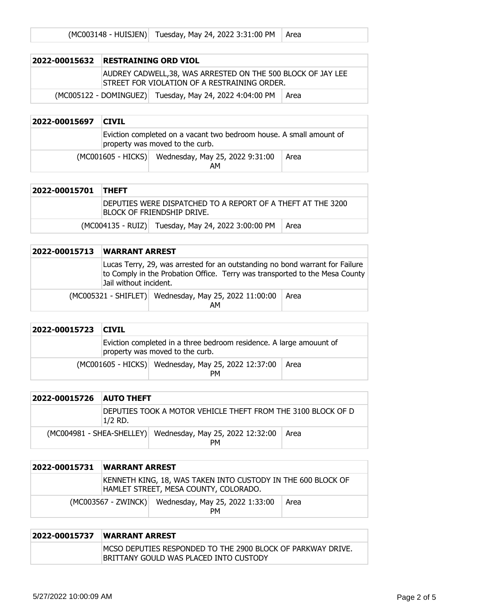|  | (MC003148 - HUISJEN) Tuesday, May 24, 2022 3:31:00 PM   Area |  |
|--|--------------------------------------------------------------|--|
|--|--------------------------------------------------------------|--|

| 2022-00015632                                                   | RESTRAINING ORD VIOL |                                                                                                              |  |
|-----------------------------------------------------------------|----------------------|--------------------------------------------------------------------------------------------------------------|--|
|                                                                 |                      | AUDREY CADWELL,38, WAS ARRESTED ON THE 500 BLOCK OF JAY LEE<br>ISTREET FOR VIOLATION OF A RESTRAINING ORDER. |  |
| (MC005122 - DOMINGUEZ) Tuesday, May 24, 2022 4:04:00 PM<br>Area |                      |                                                                                                              |  |

| 2022-00015697 | <b>CIVIL</b> |                                                                                                        |      |
|---------------|--------------|--------------------------------------------------------------------------------------------------------|------|
|               |              | Eviction completed on a vacant two bedroom house. A small amount of<br>property was moved to the curb. |      |
|               |              | (MC001605 - HICKS) Wednesday, May 25, 2022 9:31:00<br>AM                                               | Area |

| 2022-00015701 THEFT |                                                                                            |                                                    |      |
|---------------------|--------------------------------------------------------------------------------------------|----------------------------------------------------|------|
|                     | DEPUTIES WERE DISPATCHED TO A REPORT OF A THEFT AT THE 3200<br>Iblock of Friendship Drive. |                                                    |      |
|                     |                                                                                            | (MC004135 - RUIZ) Tuesday, May 24, 2022 3:00:00 PM | Area |

| 2022-00015713 | <b>WARRANT ARREST</b>                                                                                                                                                                 |                                                             |      |
|---------------|---------------------------------------------------------------------------------------------------------------------------------------------------------------------------------------|-------------------------------------------------------------|------|
|               | Lucas Terry, 29, was arrested for an outstanding no bond warrant for Failure<br>to Comply in the Probation Office. Terry was transported to the Mesa County<br>Jail without incident. |                                                             |      |
|               |                                                                                                                                                                                       | (MC005321 - SHIFLET) Wednesday, May 25, 2022 11:00:00<br>AM | Area |

| 2022-00015723 CIVIL |  |                                                                                                        |      |
|---------------------|--|--------------------------------------------------------------------------------------------------------|------|
|                     |  | Eviction completed in a three bedroom residence. A large amouunt of<br>property was moved to the curb. |      |
|                     |  | (MC001605 - HICKS) Wednesday, May 25, 2022 12:37:00<br>PМ                                              | Area |

| 2022-00015726 | <b>AUTO THEFT</b> |                                                                  |      |
|---------------|-------------------|------------------------------------------------------------------|------|
|               | 1/2 RD.           | DEPUTIES TOOK A MOTOR VEHICLE THEFT FROM THE 3100 BLOCK OF D     |      |
|               |                   | (MC004981 - SHEA-SHELLEY) Wednesday, May 25, 2022 12:32:00<br>PM | Area |

| 2022-00015731 | <b>WARRANT ARREST</b> |                                                                                                       |      |
|---------------|-----------------------|-------------------------------------------------------------------------------------------------------|------|
|               |                       | KENNETH KING, 18, WAS TAKEN INTO CUSTODY IN THE 600 BLOCK OF<br>HAMLET STREET, MESA COUNTY, COLORADO. |      |
|               |                       | (MC003567 - ZWINCK) Wednesday, May 25, 2022 1:33:00<br><b>PM</b>                                      | Area |

#### **2022-00015737 WARRANT ARREST** MCSO DEPUTIES RESPONDED TO THE 2900 BLOCK OF PARKWAY DRIVE. BRITTANY GOULD WAS PLACED INTO CUSTODY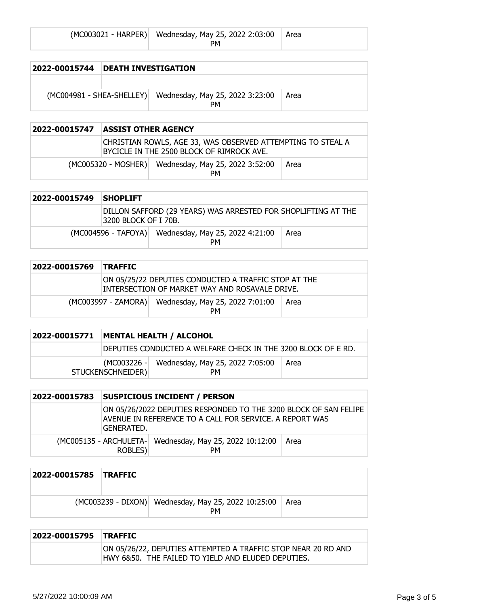| (MC003021 - HARPER) Wednesday, May 25, 2022 2:03:00 Area |  |
|----------------------------------------------------------|--|
| PМ.                                                      |  |

| 2022-00015744               | <b>DEATH INVESTIGATION</b> |                                       |      |
|-----------------------------|----------------------------|---------------------------------------|------|
|                             |                            |                                       |      |
| $(MCOO4981 - SHEA-SHELLEY)$ |                            | Wednesday, May 25, 2022 3:23:00<br>PМ | Area |

| 2022-00015747 | ASSIST OTHER AGENCY |                                                                                                          |      |
|---------------|---------------------|----------------------------------------------------------------------------------------------------------|------|
|               |                     | CHRISTIAN ROWLS, AGE 33, WAS OBSERVED ATTEMPTING TO STEAL A<br>BYCICLE IN THE 2500 BLOCK OF RIMROCK AVE. |      |
|               |                     | (MC005320 - MOSHER) Wednesday, May 25, 2022 3:52:00<br><b>PM</b>                                         | Area |

| 2022-00015749 | <b>SHOPLIFT</b>      |                                                               |      |
|---------------|----------------------|---------------------------------------------------------------|------|
|               | 3200 BLOCK OF I 70B. | DILLON SAFFORD (29 YEARS) WAS ARRESTED FOR SHOPLIFTING AT THE |      |
|               |                      | (MC004596 - TAFOYA) Wednesday, May 25, 2022 4:21:00<br>PM     | Area |

| 2022-00015769 | <b>TRAFFIC</b> |                                                                                                        |      |
|---------------|----------------|--------------------------------------------------------------------------------------------------------|------|
|               |                | ON 05/25/22 DEPUTIES CONDUCTED A TRAFFIC STOP AT THE<br>INTERSECTION OF MARKET WAY AND ROSAVALE DRIVE. |      |
|               |                | (MC003997 - ZAMORA) Wednesday, May 25, 2022 7:01:00<br><b>PM</b>                                       | Area |

| 2022-00015771 |                   | MENTAL HEALTH / ALCOHOL                                       |      |
|---------------|-------------------|---------------------------------------------------------------|------|
|               |                   | DEPUTIES CONDUCTED A WELFARE CHECK IN THE 3200 BLOCK OF E RD. |      |
|               | STUCKENSCHNEIDER) | (MC003226 - Wednesday, May 25, 2022 7:05:00<br><b>PM</b>      | Area |

| 2022-00015783 |            | <b>SUSPICIOUS INCIDENT / PERSON</b>                                                                                         |      |
|---------------|------------|-----------------------------------------------------------------------------------------------------------------------------|------|
|               | GENERATED. | ON 05/26/2022 DEPUTIES RESPONDED TO THE 3200 BLOCK OF SAN FELIPE<br>AVENUE IN REFERENCE TO A CALL FOR SERVICE. A REPORT WAS |      |
|               | ROBLES)    | (MC005135 - ARCHULETA- Wednesday, May 25, 2022 10:12:00<br><b>PM</b>                                                        | Area |

| 2022-00015785 TRAFFIC |                                                                  |      |
|-----------------------|------------------------------------------------------------------|------|
|                       |                                                                  |      |
|                       | (MC003239 - DIXON) Wednesday, May 25, 2022 10:25:00<br><b>PM</b> | Area |

| 2022-00015795 TRAFFIC |                                                                                                                     |
|-----------------------|---------------------------------------------------------------------------------------------------------------------|
|                       | ON 05/26/22, DEPUTIES ATTEMPTED A TRAFFIC STOP NEAR 20 RD AND<br>HWY 6&50. THE FAILED TO YIELD AND ELUDED DEPUTIES. |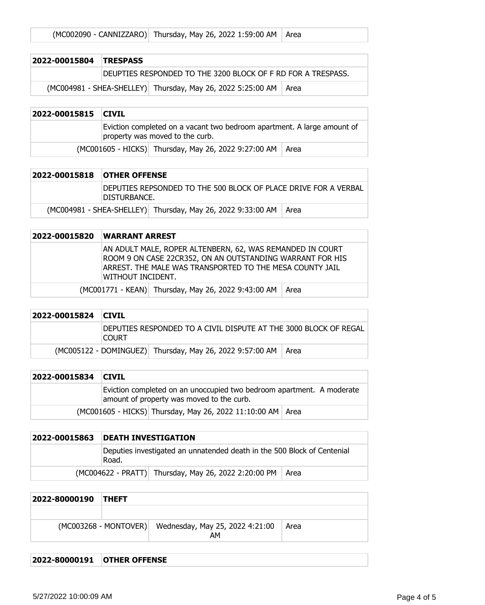| (MC002090 - CANNIZZARO) Thursday, May 26, 2022 1:59:00 AM   Area |
|------------------------------------------------------------------|
|------------------------------------------------------------------|

| 2022-00015804 TRESPASS |                                                              |                                                                    |  |
|------------------------|--------------------------------------------------------------|--------------------------------------------------------------------|--|
|                        | DEUPTIES RESPONDED TO THE 3200 BLOCK OF F RD FOR A TRESPASS. |                                                                    |  |
|                        |                                                              | (MC004981 - SHEA-SHELLEY) Thursday, May 26, 2022 5:25:00 AM   Area |  |

| 2022-00015815 CIVIL |                                                                                                            |
|---------------------|------------------------------------------------------------------------------------------------------------|
|                     | Eviction completed on a vacant two bedroom apartment. A large amount of<br>property was moved to the curb. |
|                     | (MC001605 - HICKS) Thursday, May 26, 2022 9:27:00 AM   Area                                                |

| 2022-00015818 OTHER OFFENSE |               |                                                                    |  |
|-----------------------------|---------------|--------------------------------------------------------------------|--|
|                             | IDISTURBANCE. | IDEPUTIES REPSONDED TO THE 500 BLOCK OF PLACE DRIVE FOR A VERBAL   |  |
|                             |               | (MC004981 - SHEA-SHELLEY) Thursday, May 26, 2022 9:33:00 AM   Area |  |

| 2022-00015820 | <b>WARRANT ARREST</b> |                                                                                                                                                                                    |  |
|---------------|-----------------------|------------------------------------------------------------------------------------------------------------------------------------------------------------------------------------|--|
|               | WITHOUT INCIDENT.     | AN ADULT MALE, ROPER ALTENBERN, 62, WAS REMANDED IN COURT<br>ROOM 9 ON CASE 22CR352, ON AN OUTSTANDING WARRANT FOR HIS<br>ARREST. THE MALE WAS TRANSPORTED TO THE MESA COUNTY JAIL |  |
|               |                       | (MC001771 - KEAN) Thursday, May 26, 2022 9:43:00 AM   Area                                                                                                                         |  |

| 2022-00015824 CIVIL |              |                                                                  |      |
|---------------------|--------------|------------------------------------------------------------------|------|
|                     | <b>COURT</b> | DEPUTIES RESPONDED TO A CIVIL DISPUTE AT THE 3000 BLOCK OF REGAL |      |
|                     |              | (MC005122 - DOMINGUEZ) Thursday, May 26, 2022 9:57:00 AM         | Area |

| 2022-00015834   CIVIL |                                                                                                                    |
|-----------------------|--------------------------------------------------------------------------------------------------------------------|
|                       | Eviction completed on an unoccupied two bedroom apartment. A moderate<br>amount of property was moved to the curb. |
|                       | (MC001605 - HICKS) Thursday, May 26, 2022 11:10:00 AM   Area                                                       |

| 2022-00015863 | <b>DEATH INVESTIGATION</b>                                                       |                                                             |  |
|---------------|----------------------------------------------------------------------------------|-------------------------------------------------------------|--|
|               | Deputies investigated an unnatended death in the 500 Block of Centenial<br>Road. |                                                             |  |
|               |                                                                                  | (MC004622 - PRATT) Thursday, May 26, 2022 2:20:00 PM   Area |  |

| 2022-80000190 | <b>THEFT</b> |                                                             |      |
|---------------|--------------|-------------------------------------------------------------|------|
|               |              |                                                             |      |
|               |              | (MC003268 - MONTOVER) Wednesday, May 25, 2022 4:21:00<br>AM | Area |

**2022-80000191 OTHER OFFENSE**